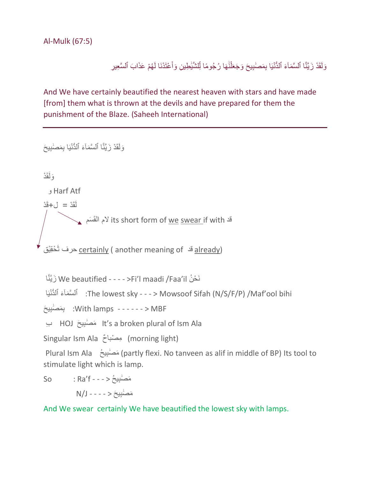Al-Mulk (67:5)

وَلَقَدْ زَيَّنَّا ٱلسَّمَآءَ ٱلدُّنْيَا بِمَصْلِيحَ وَجَعَلْنَٰهَا رُجُومًا لِّلشَّلْطِينِ وَأَعْتَدْنَا لَهُمْ عَذَابَ ٱلسَّعِيرِ َٰ ĺ َٰ j َ

And We have certainly beautified the nearest heaven with stars and have made [from] them what is thrown at the devils and have prepared for them the punishment of the Blaze. (Saheeh International)

وَلَقَدْ زَيَّنَّا ٱلْسَّمَآءَ ٱلدُّنْيَا بِمَصْٰبِيحَ وَ لَقَدْ و Harf Atf  $\tilde{a}$ د =  $1 + \tilde{a}$ د  $\sqrt{\phantom{a}^2}$  its short form of <u>we swear i</u>f with  $\mathbb{R}^3$  its short form of حِرف ثَحْقِيْق c<u>ertainly</u> ( another meaning of قد أَحْقِيْق اَّنَّزيَ We beautified - - - - >Fi'l maadi /Faa'il نُ ح َن The lowest sky - - - > Mowsoof Sifah (N/S/F/P) /Maf'ool bihi: ٱلْسَّمَاَءَ ٱلْدُّنْيَا With lamps - - - - - - > MBF: بِمَصَٰنِيحَ ا HOJ مَصَٰنِيحَ HOJ مَصنُبِيحَ HOJ ب Singular Ism Ala مِصْبَاحٌ (morning light) َم َصَٰ بِي ُح Ala Ism Plural (partly flexi. No tanveen as alif in middle of BP) Its tool to stimulate light which is lamp. َم َصَٰ بِي ُح < - - - f'Ra : So

َم َصَٰ بِي َح < - - - - J/N

And We swear certainly We have beautified the lowest sky with lamps.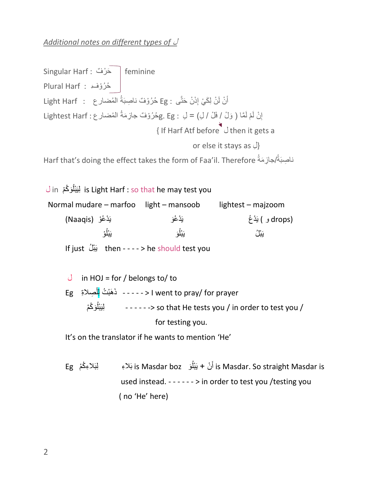*Additional notes on different types of* ْل

Singular Harf : حَرْفٌ Feminine ُح ُر وفٌ : Harf Plural أَنْْ لَنْ لِكَيْ إِذَنْ حَتَّى : Eg حُرُوْفٌ ناصِبَةُ الْمُضىار ع : Light Harf إِنْ لَمْ لَمَّا ( وَلْ / فَلْ / لِ) = لِ : ghtest Harf جُرُوْفٌ جازِمَةُ المُضار ع : Lightest Harf  $\frac{1}{2}$  $\{$  If Harf Atf before  $\bigcup$  then it gets a or else it stays as لِ{ ناصِبَةُ/جازِمَةُ Harf that's doing the effect takes the form of Faa'il. Therefore

لِيَبْلُوَكُمْ is Light Harf : so that he may test you ُ Normal mudare – marfoo light – mansoob lightest – majzoom َو يَ دعُ و (Naaqis( (drops و ) يَدْعُ و اُ َو يَ ْ بل ا يَبْلُ بِيبَنَا بِيبَنَا بِيبَنَا بِيبَنَا بِيبَنَا بِيبَنَا بِيبَنَا بِيبَنَا بِيبَنَا بِيبَنَا بِيبَنَا بِيب If just  $j$   $\ddot{\hspace{1mm}}$  if just  $\ddot{\hspace{1mm}}$  if  $\epsilon$  then - - - - > he should test you  $J$  in HOJ = for / belongs to/ to ِصالةِْ Eg َه ب ُت ِلل َذ - - - - - < I went to pray/ for prayer ĺ / بَيَبْلُوَكُمْ  $\,$  - - - - - - > so that He tests you / in order to test you / اُ for testing you. It's on the translator if he wants to mention 'He'

 م Eg َو boz Masdar is بَالِء ِلبَالِءكُ ُ ن + يَ بل َ ْ أ is Masdar. So straight Masdar is used instead. - - - - - - > in order to test you /testing you ( no 'He' here)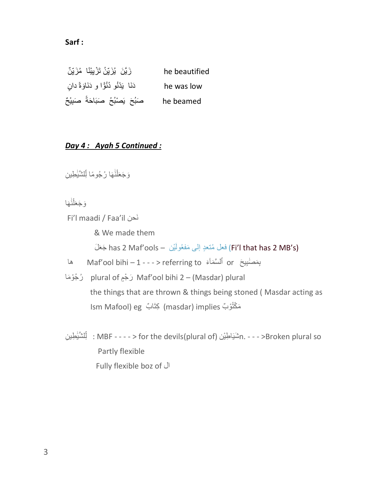#### **Sarf :**

he beautified زَيَّنَ ۖ يُزَيِّنُ تَزْيِيْنًا ۖ مُزَيِّنٌ he was low دَنَا يَدْنُو دُنُوًّا و دَنَاوَةً دانٍ صَبُحَ يَصْبُحُ صَبَاحَةً صَبِيْحٌ he beamed

#### *Day 4 : Ayah 5 Continued :*

وَجَعَلْنَٰهَا رُجُومًا لِلشَّيْطِينِ َٰ  $\int$ َٰ j

وَجَعَلْنَهَا َٰ  $\int$ 

Fi'l maadi / Faa'il حنَن

& We made them

(Fi'l that has 2 MB's) فَعَلْ مُنْعَدٍ إِلَى مَفْعُولَيْن — has 2 Maf'ools جَعَلَ

ها Maf'ool bihi – 1 - - - > referring to ْٱ ءَ بِ َم َصَٰ بِي َح or ل َّس َمآ

لُجُوْمَا plural of رَجْمِ Maf'ool bihi 2 – (Masdar) plural the things that are thrown & things being stoned ( Masdar acting as مَكْتُوْبٌ masdar) implies) كِتَابٌ Ism Mafool) eg

ن يَلْلشَّيْطِينِ : MBF - - - - > for the devils(plural of) : يَلْلشَّيْطِينِ : MBF - - - - > for the devils(plural of) ֧֖֖֖֖֖ׅׅׅׅׅׅ֧ׅ֧ׅ֧ׅ֧֧ׅ֧֚֚֚֚֚֚֚֚֚֚֚֚֚֚֚֚֚֚֚֚֚֚֝֝֝֝֝֝֓֓֟֓֓֓֟֓֡֟֓֞֟֓֡֓֓֞֝֬֓֝֬֝֝֬֝֝<br>֧֪֧֧֧֧֧֪ׅ֧֪ׅ֧֧֪ׅׅ֧֚֚֚֚֚֚֚֚֚֚֚֚֝֝֓֞֝֝֝֟֟֓ j Partly flexible Fully flexible boz of ْال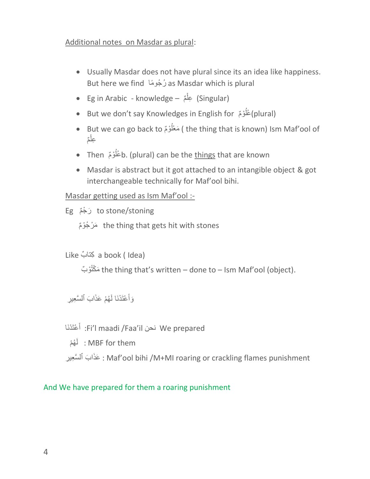### Additional notes on Masdar as plural:

- Usually Masdar does not have plural since its an idea like happiness. But here we find ماً جوُ رُ as Masdar which is plural
- Eg in Arabic knowledge مٌ (Singular (ِعل  $\overline{\phantom{a}}$
- But we don't say Knowledges in English for (plural) ُ
- But we can go back to مَعْلَوْمٌ ( the thing that is known) Ism Maf'ool of ُ عِلْمٌ  $\int$
- Then فَلُوْمٌ b. (plural) can be the <u>things</u> that are known ُ
- Masdar is abstract but it got attached to an intangible object & got interchangeable technically for Maf'ool bihi.

#### Masdar getting used as Ism Maf'ool :-

to stone/stoning رَجْمٌ Eg

مَرْجُوْمٌ the thing that gets hit with stones

Like بٌ كتاِ a book ( Idea)

و ٌب ُكت مَ the thing that's written – done to – Ism Maf'ool (object).

وَأَعْتَدْنَا لَـهُمْ عَذَابَ ٱلسَّعِيرِ َ

 عتَ دنَا أ :Fi'l maadi /Faa'il نحن We prepared َ

ُه م َ ْْ ل : MBF for them

عَذَابَ ٱلْسَّعِيرِ : Maf'ool bihi /M+MI roaring or crackling flames punishment

## And We have prepared for them a roaring punishment